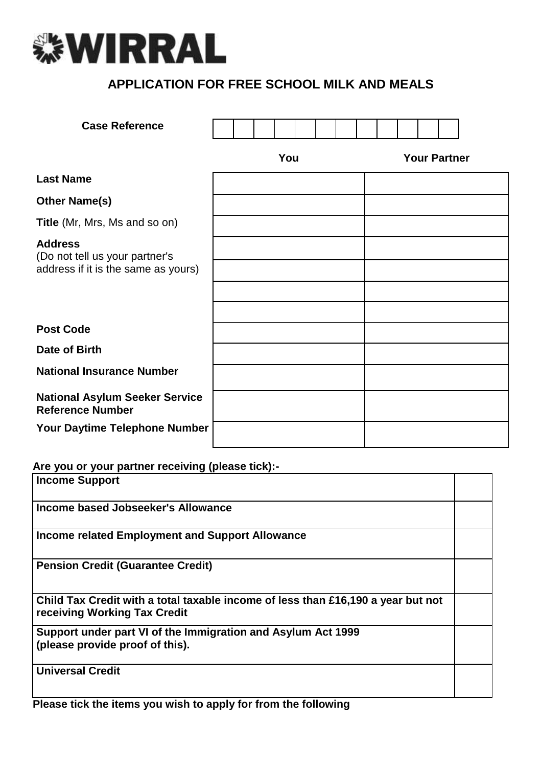

# **APPLICATION FOR FREE SCHOOL MILK AND MEALS**

| <b>Case Reference</b>                                                                   |  |     |  |  |  |                     |  |
|-----------------------------------------------------------------------------------------|--|-----|--|--|--|---------------------|--|
|                                                                                         |  | You |  |  |  | <b>Your Partner</b> |  |
| <b>Last Name</b>                                                                        |  |     |  |  |  |                     |  |
| <b>Other Name(s)</b>                                                                    |  |     |  |  |  |                     |  |
| Title (Mr, Mrs, Ms and so on)                                                           |  |     |  |  |  |                     |  |
| <b>Address</b><br>(Do not tell us your partner's<br>address if it is the same as yours) |  |     |  |  |  |                     |  |
|                                                                                         |  |     |  |  |  |                     |  |
|                                                                                         |  |     |  |  |  |                     |  |
| <b>Post Code</b>                                                                        |  |     |  |  |  |                     |  |
| Date of Birth                                                                           |  |     |  |  |  |                     |  |
| <b>National Insurance Number</b>                                                        |  |     |  |  |  |                     |  |
| <b>National Asylum Seeker Service</b><br><b>Reference Number</b>                        |  |     |  |  |  |                     |  |
| Your Daytime Telephone Number                                                           |  |     |  |  |  |                     |  |

#### **Are you or your partner receiving (please tick):-**

| Income Support                                                                                                   |  |
|------------------------------------------------------------------------------------------------------------------|--|
| Income based Jobseeker's Allowance                                                                               |  |
| <b>Income related Employment and Support Allowance</b>                                                           |  |
| <b>Pension Credit (Guarantee Credit)</b>                                                                         |  |
| Child Tax Credit with a total taxable income of less than £16,190 a year but not<br>receiving Working Tax Credit |  |
| Support under part VI of the Immigration and Asylum Act 1999<br>(please provide proof of this).                  |  |
| <b>Universal Credit</b>                                                                                          |  |

**Please tick the items you wish to apply for from the following**